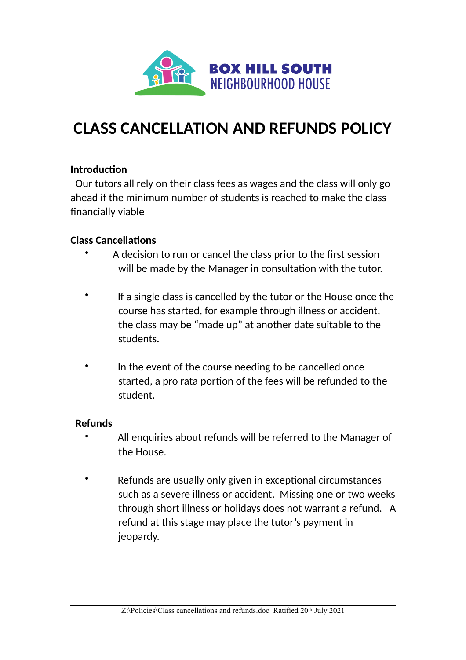

# **CLASS CANCELLATION AND REFUNDS POLICY**

# **Introduction**

Our tutors all rely on their class fees as wages and the class will only go ahead if the minimum number of students is reached to make the class financially viable

### **Class Cancellations**

- A decision to run or cancel the class prior to the first session will be made by the Manager in consultation with the tutor.
- If a single class is cancelled by the tutor or the House once the course has started, for example through illness or accident, the class may be "made up" at another date suitable to the students.
- In the event of the course needing to be cancelled once started, a pro rata portion of the fees will be refunded to the student.

#### **Refunds**

- •All enquiries about refunds will be referred to the Manager of the House.
	- Refunds are usually only given in exceptional circumstances such as a severe illness or accident. Missing one or two weeks through short illness or holidays does not warrant a refund. A refund at this stage may place the tutor's payment in jeopardy.